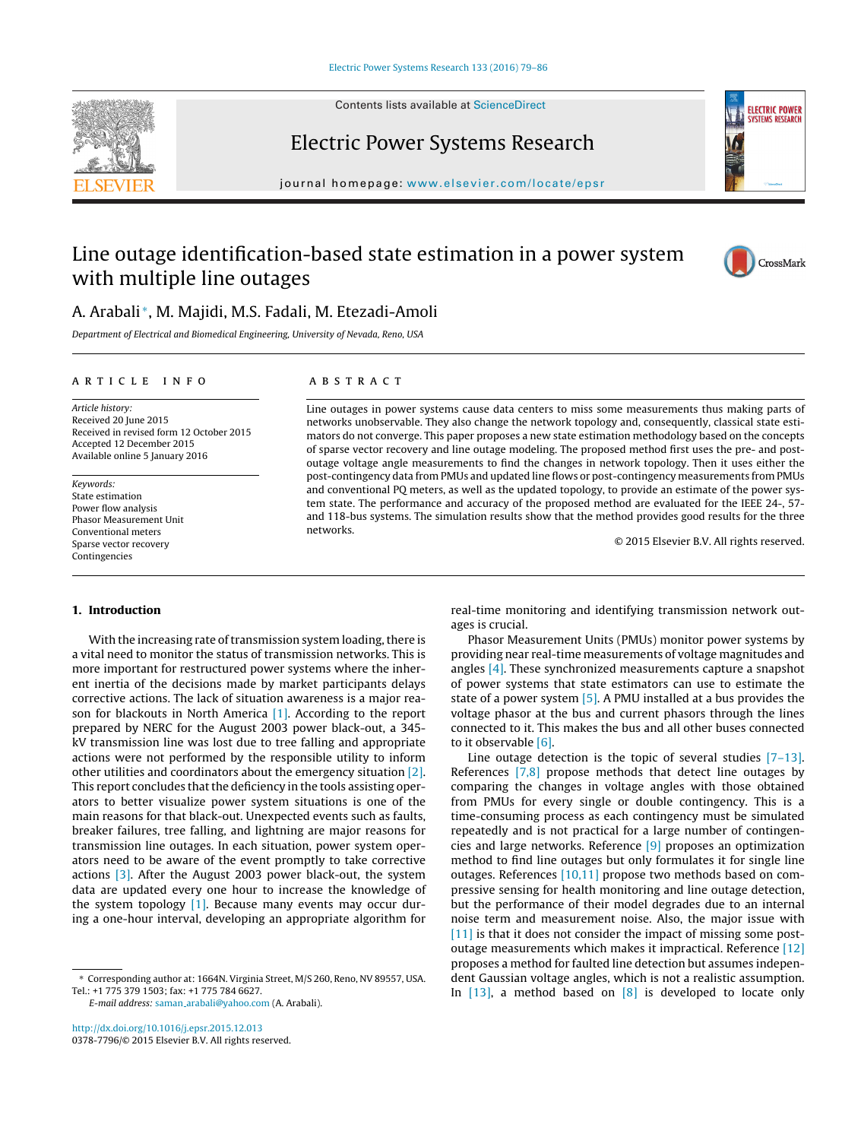Contents lists available at [ScienceDirect](http://www.sciencedirect.com/science/journal/03787796)





## Electric Power Systems Research

journal homepage: [www.elsevier.com/locate/epsr](http://www.elsevier.com/locate/epsr)

## Line outage identification-based state estimation in a power system with multiple line outages



### A. Arabali <sup>∗</sup>, M. Majidi, M.S. Fadali, M. Etezadi-Amoli

Department of Electrical and Biomedical Engineering, University of Nevada, Reno, USA

#### ARTICLE INFO

Article history: Received 20 June 2015 Received in revised form 12 October 2015 Accepted 12 December 2015 Available online 5 January 2016

Keywords: State estimation Power flow analysis Phasor Measurement Unit Conventional meters Sparse vector recovery Contingencies

#### **1. Introduction**

With the increasing rate of transmission system loading, there is a vital need to monitor the status of transmission networks. This is more important for restructured power systems where the inherent inertia of the decisions made by market participants delays corrective actions. The lack of situation awareness is a major reason for blackouts in North America [\[1\].](#page--1-0) According to the report prepared by NERC for the August 2003 power black-out, a 345 kV transmission line was lost due to tree falling and appropriate actions were not performed by the responsible utility to inform other utilities and coordinators about the emergency situation [\[2\].](#page--1-0) This report concludes that the deficiency in the tools assisting operators to better visualize power system situations is one of the main reasons for that black-out. Unexpected events such as faults, breaker failures, tree falling, and lightning are major reasons for transmission line outages. In each situation, power system operators need to be aware of the event promptly to take corrective actions [\[3\].](#page--1-0) After the August 2003 power black-out, the system data are updated every one hour to increase the knowledge of the system topology [\[1\].](#page--1-0) Because many events may occur during a one-hour interval, developing an appropriate algorithm for

[http://dx.doi.org/10.1016/j.epsr.2015.12.013](dx.doi.org/10.1016/j.epsr.2015.12.013) 0378-7796/© 2015 Elsevier B.V. All rights reserved.

#### A B S T R A C T

Line outages in power systems cause data centers to miss some measurements thus making parts of networks unobservable. They also change the network topology and, consequently, classical state estimators do not converge. This paper proposes a new state estimation methodology based on the concepts of sparse vector recovery and line outage modeling. The proposed method first uses the pre- and postoutage voltage angle measurements to find the changes in network topology. Then it uses either the post-contingency data from PMUs and updated line flows or post-contingency measurements from PMUs and conventional PQ meters, as well as the updated topology, to provide an estimate of the power system state. The performance and accuracy of the proposed method are evaluated for the IEEE 24-, 57 and 118-bus systems. The simulation results show that the method provides good results for the three networks.

© 2015 Elsevier B.V. All rights reserved.

real-time monitoring and identifying transmission network outages is crucial.

Phasor Measurement Units (PMUs) monitor power systems by providing near real-time measurements of voltage magnitudes and angles [\[4\].](#page--1-0) These synchronized measurements capture a snapshot of power systems that state estimators can use to estimate the state of a power system  $[5]$ . A PMU installed at a bus provides the voltage phasor at the bus and current phasors through the lines connected to it. This makes the bus and all other buses connected to it observable [\[6\].](#page--1-0)

Line outage detection is the topic of several studies [\[7–13\].](#page--1-0) References [\[7,8\]](#page--1-0) propose methods that detect line outages by comparing the changes in voltage angles with those obtained from PMUs for every single or double contingency. This is a time-consuming process as each contingency must be simulated repeatedly and is not practical for a large number of contingencies and large networks. Reference [\[9\]](#page--1-0) proposes an optimization method to find line outages but only formulates it for single line outages. References [\[10,11\]](#page--1-0) propose two methods based on compressive sensing for health monitoring and line outage detection, but the performance of their model degrades due to an internal noise term and measurement noise. Also, the major issue with [\[11\]](#page--1-0) is that it does not consider the impact of missing some postoutage measurements which makes it impractical. Reference [\[12\]](#page--1-0) proposes a method for faulted line detection but assumes independent Gaussian voltage angles, which is not a realistic assumption. In  $[13]$ , a method based on  $[8]$  is developed to locate only

<sup>∗</sup> Corresponding author at: 1664N. Virginia Street, M/S 260, Reno, NV 89557, USA. Tel.: +1 775 379 1503; fax: +1 775 784 6627.

E-mail address: saman [arabali@yahoo.com](mailto:saman_arabali@yahoo.com) (A. Arabali).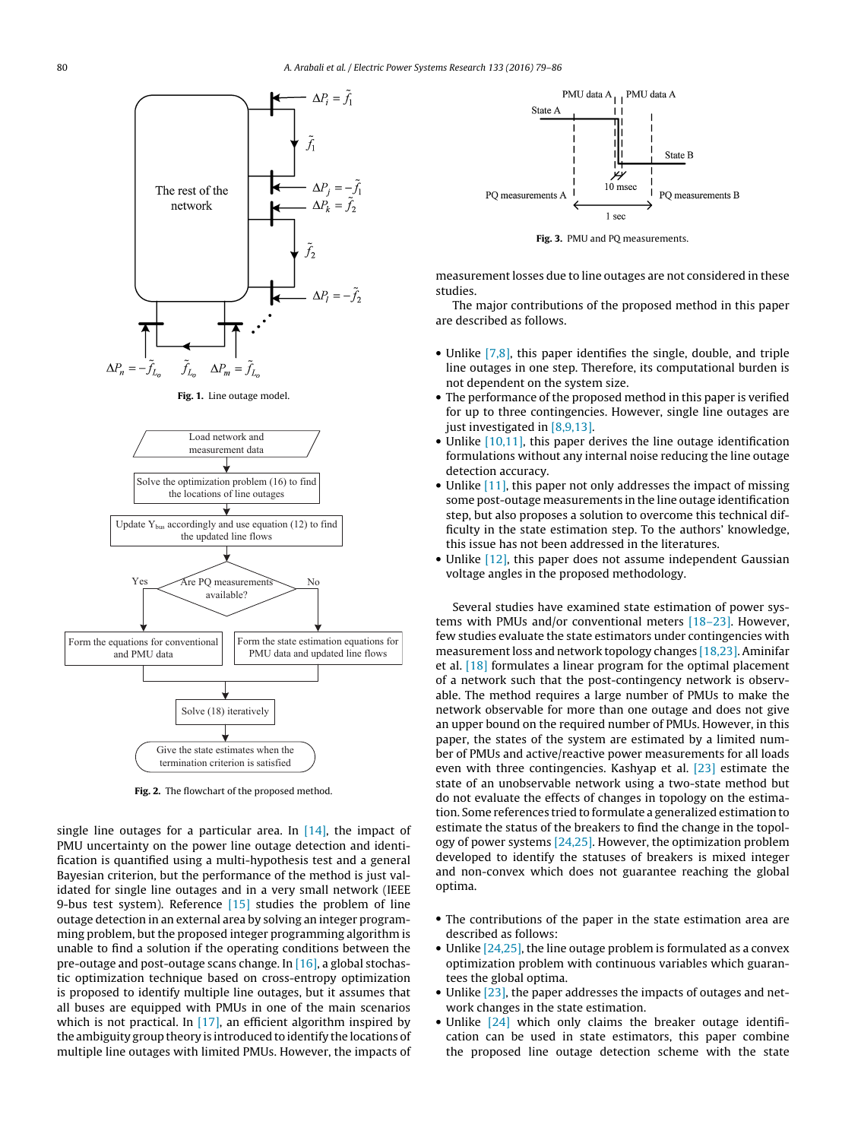

**Fig. 1.** Line outage model.



**Fig. 2.** The flowchart of the proposed method.

single line outages for a particular area. In  $[14]$ , the impact of PMU uncertainty on the power line outage detection and identification is quantified using a multi-hypothesis test and a general Bayesian criterion, but the performance of the method is just validated for single line outages and in a very small network (IEEE 9-bus test system). Reference [\[15\]](#page--1-0) studies the problem of line outage detection in an external area by solving an integer programming problem, but the proposed integer programming algorithm is unable to find a solution if the operating conditions between the pre-outage and post-outage scans change. In [\[16\],](#page--1-0) a global stochastic optimization technique based on cross-entropy optimization is proposed to identify multiple line outages, but it assumes that all buses are equipped with PMUs in one of the main scenarios which is not practical. In  $[17]$ , an efficient algorithm inspired by the ambiguity group theory is introduced to identify the locations of multiple line outages with limited PMUs. However, the impacts of



**Fig. 3.** PMU and PQ measurements.

measurement losses due to line outages are not considered in these studies.

The major contributions of the proposed method in this paper are described as follows.

- Unlike [\[7,8\],](#page--1-0) this paper identifies the single, double, and triple line outages in one step. Therefore, its computational burden is not dependent on the system size.
- The performance of the proposed method in this paper is verified for up to three contingencies. However, single line outages are just investigated in [\[8,9,13\].](#page--1-0)
- Unlike [\[10,11\],](#page--1-0) this paper derives the line outage identification formulations without any internal noise reducing the line outage detection accuracy.
- Unlike [\[11\],](#page--1-0) this paper not only addresses the impact of missing some post-outage measurements in the line outage identification step, but also proposes a solution to overcome this technical difficulty in the state estimation step. To the authors' knowledge, this issue has not been addressed in the literatures.
- Unlike [\[12\],](#page--1-0) this paper does not assume independent Gaussian voltage angles in the proposed methodology.

Several studies have examined state estimation of power systems with PMUs and/or conventional meters [\[18–23\].](#page--1-0) However, few studies evaluate the state estimators under contingencies with measurement loss and network topology changes [\[18,23\].](#page--1-0) Aminifar et al. [\[18\]](#page--1-0) formulates a linear program for the optimal placement of a network such that the post-contingency network is observable. The method requires a large number of PMUs to make the network observable for more than one outage and does not give an upper bound on the required number of PMUs. However, in this paper, the states of the system are estimated by a limited number of PMUs and active/reactive power measurements for all loads even with three contingencies. Kashyap et al. [\[23\]](#page--1-0) estimate the state of an unobservable network using a two-state method but do not evaluate the effects of changes in topology on the estimation. Some references tried to formulate a generalized estimation to estimate the status of the breakers to find the change in the topol-ogy of power systems [\[24,25\].](#page--1-0) However, the optimization problem developed to identify the statuses of breakers is mixed integer and non-convex which does not guarantee reaching the global optima.

- The contributions of the paper in the state estimation area are described as follows:
- Unlike [\[24,25\],](#page--1-0) the line outage problem is formulated as a convex optimization problem with continuous variables which guarantees the global optima.
- Unlike [\[23\],](#page--1-0) the paper addresses the impacts of outages and network changes in the state estimation.
- Unlike [\[24\]](#page--1-0) which only claims the breaker outage identification can be used in state estimators, this paper combine the proposed line outage detection scheme with the state